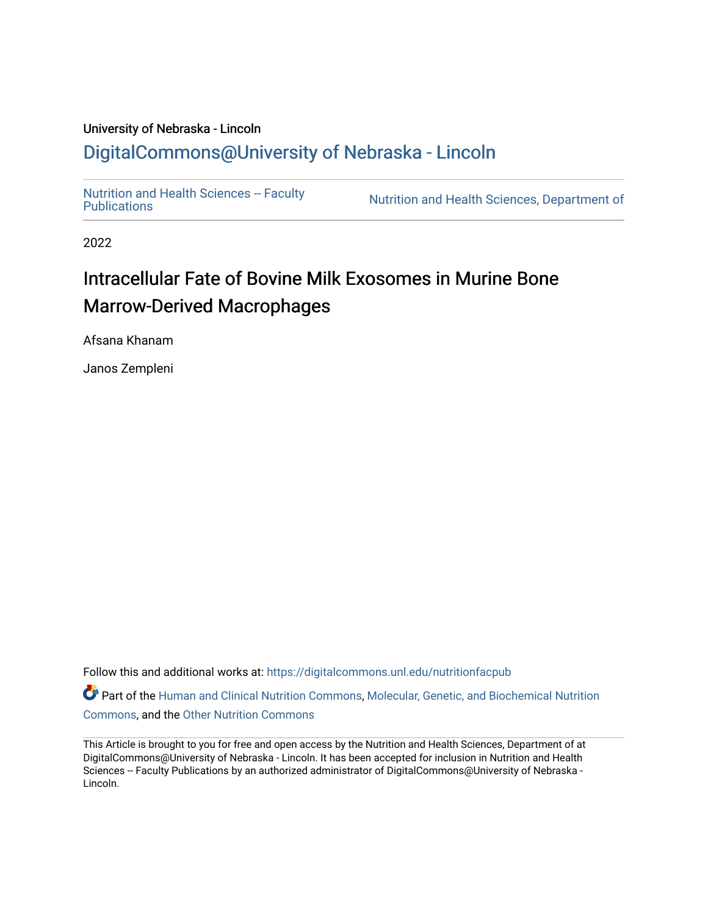## University of Nebraska - Lincoln [DigitalCommons@University of Nebraska - Lincoln](https://digitalcommons.unl.edu/)

Nutrition and Health Sciences -- Faculty<br>Publications

Nutrition and Health Sciences, Department of

2022

## Intracellular Fate of Bovine Milk Exosomes in Murine Bone Marrow-Derived Macrophages

Afsana Khanam

Janos Zempleni

Follow this and additional works at: [https://digitalcommons.unl.edu/nutritionfacpub](https://digitalcommons.unl.edu/nutritionfacpub?utm_source=digitalcommons.unl.edu%2Fnutritionfacpub%2F290&utm_medium=PDF&utm_campaign=PDFCoverPages) 

Part of the [Human and Clinical Nutrition Commons](https://network.bepress.com/hgg/discipline/97?utm_source=digitalcommons.unl.edu%2Fnutritionfacpub%2F290&utm_medium=PDF&utm_campaign=PDFCoverPages), Molecular, Genetic, and Biochemical Nutrition [Commons](https://network.bepress.com/hgg/discipline/99?utm_source=digitalcommons.unl.edu%2Fnutritionfacpub%2F290&utm_medium=PDF&utm_campaign=PDFCoverPages), and the [Other Nutrition Commons](https://network.bepress.com/hgg/discipline/101?utm_source=digitalcommons.unl.edu%2Fnutritionfacpub%2F290&utm_medium=PDF&utm_campaign=PDFCoverPages)

This Article is brought to you for free and open access by the Nutrition and Health Sciences, Department of at DigitalCommons@University of Nebraska - Lincoln. It has been accepted for inclusion in Nutrition and Health Sciences -- Faculty Publications by an authorized administrator of DigitalCommons@University of Nebraska -Lincoln.